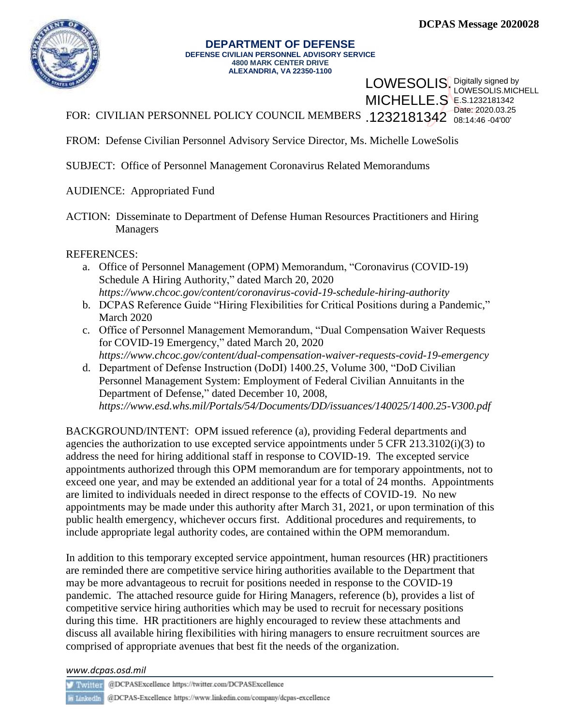LOWESOLIS.MICHELL

08:14:46 -04'00'

LOWESOLIS. Digitally signed by **MICHELLE.S** E.S.1232181342



## **DEPARTMENT OF DEFENSE DEFENSE CIVILIAN PERSONNEL ADVISORY SERVICE 4800 MARK CENTER DRIVE ALEXANDRIA, VA 22350-1100**

FOR: CIVILIAN PERSONNEL POLICY COUNCIL MEMBERS .1232181342 Date: 2020.03.25

FROM: Defense Civilian Personnel Advisory Service Director, Ms. Michelle LoweSolis

SUBJECT: Office of Personnel Management Coronavirus Related Memorandums

AUDIENCE: Appropriated Fund

ACTION: Disseminate to Department of Defense Human Resources Practitioners and Hiring Managers

REFERENCES:

- a. Office of Personnel Management (OPM) Memorandum, "Coronavirus (COVID-19) Schedule A Hiring Authority," dated March 20, 2020 *<https://www.chcoc.gov/content/coronavirus-covid-19-schedule-hiring-authority>*
- b. DCPAS Reference Guide "Hiring Flexibilities for Critical Positions during a Pandemic," March 2020
- c. Office of Personnel Management Memorandum, "Dual Compensation Waiver Requests for COVID-19 Emergency," dated March 20, 2020 *<https://www.chcoc.gov/content/dual-compensation-waiver-requests-covid-19-emergency>*
- d. Department of Defense Instruction (DoDI) 1400.25, Volume 300, "DoD Civilian Personnel Management System: Employment of Federal Civilian Annuitants in the Department of Defense," dated December 10, 2008, *https://www.esd.whs.mil/Portals/54/Documents/DD/issuances/140025/1400.25-V300.pdf*

BACKGROUND/INTENT: OPM issued reference (a), providing Federal departments and agencies the authorization to use excepted service appointments under 5 CFR 213.3102(i)(3) to address the need for hiring additional staff in response to COVID-19. The excepted service appointments authorized through this OPM memorandum are for temporary appointments, not to exceed one year, and may be extended an additional year for a total of 24 months. Appointments are limited to individuals needed in direct response to the effects of COVID-19. No new appointments may be made under this authority after March 31, 2021, or upon termination of this public health emergency, whichever occurs first. Additional procedures and requirements, to include appropriate legal authority codes, are contained within the OPM memorandum.

In addition to this temporary excepted service appointment, human resources (HR) practitioners are reminded there are competitive service hiring authorities available to the Department that may be more advantageous to recruit for positions needed in response to the COVID-19 pandemic. The attached resource guide for Hiring Managers, reference (b), provides a list of competitive service hiring authorities which may be used to recruit for necessary positions during this time. HR practitioners are highly encouraged to review these attachments and discuss all available hiring flexibilities with hiring managers to ensure recruitment sources are comprised of appropriate avenues that best fit the needs of the organization.

*www.dcpas.osd.mil*